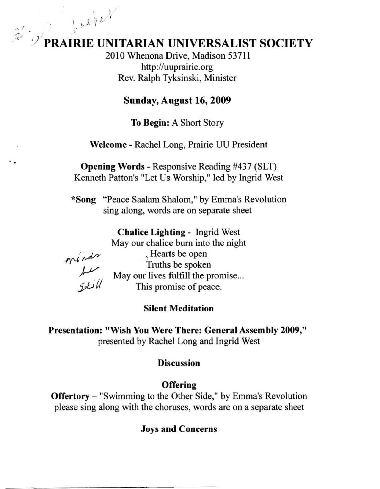# **PRAIRIE UNITARIAN UNIVERSALIST SOCIETY**

2010 Whenona Drive, Madison 53711 http://uuprairie,org Rev, Ralph Tyksinski, Minister

#### Sunday, August 16, 2009

To Begin: A Short Story

Welcome - Rachel Long, Prairie UU President

Opening Words - Responsive Reading #437 (SLT) Kenneth Patton's "Let Us Worship," led by Ingrid West

\*Song "Peace Saalam Shalom," by Emma's Revolution sing along, words are on separate sheet

Chalice Lighting - Ingrid West

May our chalice bum into the night

winds<br>سلسلہ<br>الماندی

 $l.$  and  $l.$ 

, Hearts be open Truths be spoken May our lives fulfill the promise... This promise of peace,

#### Silent Meditation

Presentation: "Wish You Were There: General Assembly 2009," presented by Rachel Long and Ingrid West

#### Discussion

**Offering** 

Offertory - "Swimming to the Other Side," by Emma's Revolution please sing along with the choruses, words are on a separate sheet

#### Joys and Concerns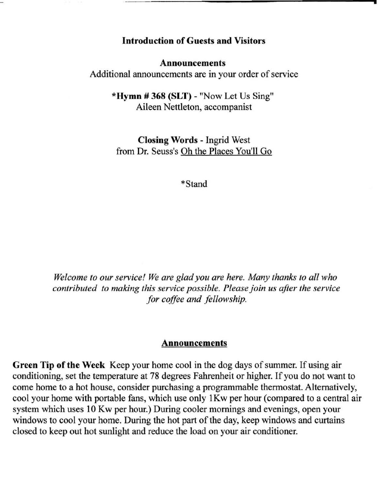#### Introduction of Guests and Visitors

**•** 

#### Announcements

Additional announcements are in your order of service

\*Hymn # 368 (SLT) - "Now Let Us Sing" Aileen Nettleton, accompanist

Closing Words - Ingrid West from Dr. Seuss's Oh the Places You'll Go

• Stand

*Welcome to our service! We are glad you are here. Many thanks to all who contributed to making this service possible. Please join us after the service for coffee and fellowship.* 

#### **Announcements**

Green Tip of the Week Keep your home cool in the dog days of summer. If using air conditioning, set the temperature at 78 degrees Fahrenheit or higher. If you do not want to come home to a hot house, consider purchasing a programmable thermostat. Alternatively, cool your home with portable fans, which use only IKw per hour (compared to a central air system which uses 10 Kw per hour.) During cooler mornings and evenings, open your windows to cool your home. During the hot part of the day, keep windows and curtains closed to keep out hot sunlight and reduce the load on your air conditioner.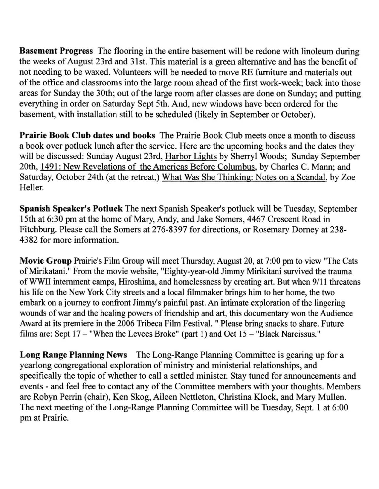Basement Progress The flooring in the entire basement will be redone with linoleum during the weeks of August 23rd and 31st. This material is a green alternative and has the benefit of not needing to be waxed. Volunteers will be needed to move RE furniture and materials out of the office and classrooms into the large room ahead of the first work-week; back into those areas for Sunday the 30th; out of the large room after classes are done on Sunday; and putting everything in order on Saturday Sept 5th. And, new windows have been ordered for the basement, with installation still to be scheduled (likely in September or October).

Prairie Book Club dates and books The Prairie Book Club meets once a month to discuss a book over potluck lunch after the service. Here are the upcoming books and the dates they will be discussed: Sunday August 23rd, Harbor Lights by Sherryl Woods; Sunday September 20th, 1491: New Revelations of the Americas Before Columbus, by Charles C. Mann; and Saturday, October 24th (at the retreat,) What Was She Thinking: Notes on a Scandal, by Zoe Heller.

Spanish Speaker's Potluck The next Spanish Speaker's potluck will be Tuesday, September 15th at 6:30 pm at the home of Mary, Andy, and Jake Somers, 4467 Crescent Road in Fitchburg. Please call the Somers at 276-8397 for directions, or Rosemary Dorney at 238- 4382 for more information.

Movie Group Prairie's Film Group will meet Thursday, August 20, at 7:00 pm to view "The Cats of Mirikatani." From the movie website, "Eighty-year-old Jimmy Mirikitani survived the trauma of WW[) internment camps, Hiroshima, and homelessness by creating art. But when 9/11 threatens his life on the New York City streets and a local filmmaker brings him to her home, the two embark on a journey to confront Jimmy's painful past. An intimate exploration of the lingering wounds of war and the healing powers of friendship and art, this documentary won the Audience Award at its premiere in the 2006 Tribeca Film Festival. " Please bring snacks to share. Future films are: Sept  $17 -$  "When the Levees Broke" (part 1) and Oct  $15 -$  "Black Narcissus."

Long Range Planning News The Long-Range Planning Committee is gearing up for a yearlong congregational exploration of ministry and ministerial relationships, and specifically the topic of whether to call a settled minister. Stay tuned for announcements and events - and feel free to contact any of the Committee members with your thoughts. Members are Robyn Perrin (chair), Ken Skog, Aileen Nettleton, Christina Klock, and Mary Mullen. The next meeting of the Long-Range Planning Committee will be Tuesday, Sept. I at 6:00 pm at Prairie.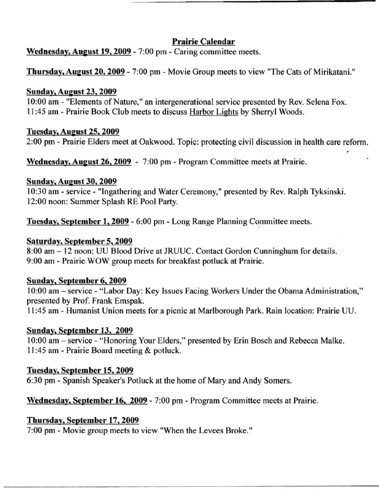#### Prairie Calendar

Wednesday. August 19.2009 - 7:00 pm - Caring committee meets.

Thursday, August 20, 2009 - 7:00 pm - Movie Group meets to view "The Cats of Mirikatani."

#### **Sunday, August 23, 2009**

10:00 am - "Elements of Nature," an intergenerational service presented by Rev. Selena Fox. II :45 am - Prairie Book Club meets to discuss Harbor Lights by Sherryl Woods.

#### Tuesday. August 25. 2009

2:00 pm - Prairie Elders meet at Oakwood. Topic: protecting civil discussion in health care reform.

Wednesday, August 26, 2009 - 7:00 pm - Program Committee meets at Prairie.

#### **Sunday, August 30, 2009**

10:30 am - service - "Ingathering and Water Ceremony," presented by Rev. Ralph Tyksinski. 12:00 noon: Summer Splash RE Pool Party.

Tuesday, September 1, 2009 - 6:00 pm - Long Range Planning Committee meets.

#### Saturday, September 5, 2009

8:00 am - 12 noon: UU Blood Drive at JRUUC. Contact Gordon Cunningham for details. 9:00 am - Prairie WOW group meets for breakfast potluck at Prairie.

#### Sunday. September 6. 2009

10:00 am - service - "Labor Day: Key Issues Facing Workers Under the Obama Administration," presented by Prof. Frank Emspak.

11:45 am - Humanist Union meets for a picnic at Marlborough Park. Rain location: Prairie UU.

#### Sunday. September 13. 2009

10:00 am - service - "Honoring Your Elders," presented by Erin Bosch and Rebecca Malke. II :45 am - Prairie Board meeting & potluck.

#### Tuesday. September IS. 2009

6:30 pm - Spanish Speaker's Potluck at the home of Mary and Andy Somers.

Wednesday. September 16. 2009 - 7:00 pm - Program Committee meets at Prairie.

#### Thursday. September 17. 2009

7:00 pm - Movie group meets to view "When the Levees Broke."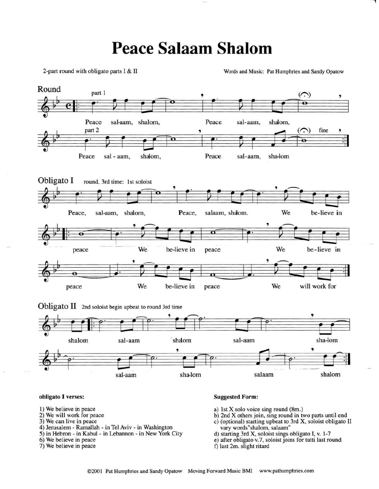## Peace Salaam Shalom

2-part round with obligato parts I & II Words and Music: Pat Humphries and Sandy Opatow



#### obligato I verses: Suggested Form:

- 
- 
- 3) We can live in peace
- 4) Jerusalem Ramallah in Tel Aviv in Washington
- 5) in Hebron in Kabul in Lebannon in New York City
- 
- 

- 1) We believe in peace a) 1st X solo voice sing round (8m.)<br>
2) We will work for peace b) 2nd X others join, sing round in the
	- b) 2nd X others join, sing round in two parts until end
	- c) (optional) starting upbeat to 3rd X, soloist obligato II vary words"shalom. salaam"
	- d) starting 3rd X. soloist sings obligato 1. Y. 1-7
- 6) We believe in peace e) after obligato v.7, soloist joins for tutti last round f) last 2m. slight ritard
	- f) last 2m. slight ritard